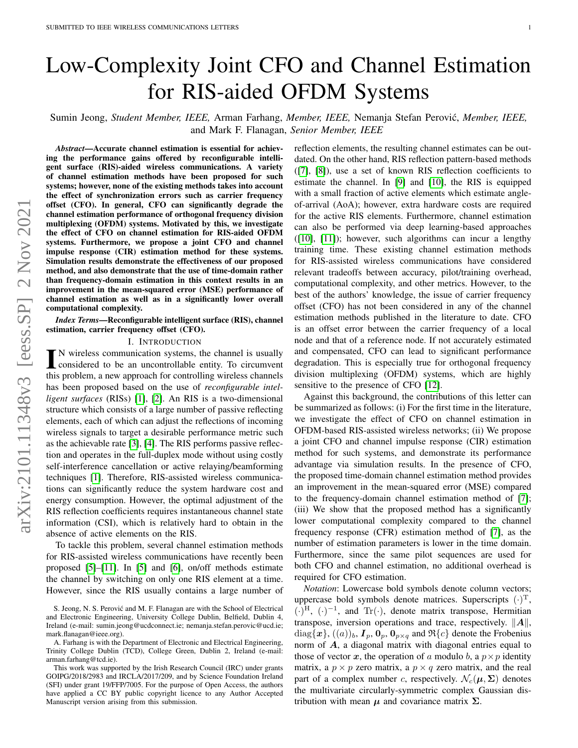# Low-Complexity Joint CFO and Channel Estimation for RIS-aided OFDM Systems

Sumin Jeong, *Student Member, IEEE,* Arman Farhang, *Member, IEEE,* Nemanja Stefan Perovic,´ *Member, IEEE,* and Mark F. Flanagan, *Senior Member, IEEE*

*Abstract*—Accurate channel estimation is essential for achieving the performance gains offered by reconfigurable intelligent surface (RIS)-aided wireless communications. A variety of channel estimation methods have been proposed for such systems; however, none of the existing methods takes into account the effect of synchronization errors such as carrier frequency offset (CFO). In general, CFO can significantly degrade the channel estimation performance of orthogonal frequency division multiplexing (OFDM) systems. Motivated by this, we investigate the effect of CFO on channel estimation for RIS-aided OFDM systems. Furthermore, we propose a joint CFO and channel impulse response (CIR) estimation method for these systems. Simulation results demonstrate the effectiveness of our proposed method, and also demonstrate that the use of time-domain rather than frequency-domain estimation in this context results in an improvement in the mean-squared error (MSE) performance of channel estimation as well as in a significantly lower overall computational complexity.

*Index Terms*—Reconfigurable intelligent surface (RIS), channel estimation, carrier frequency offset (CFO).

# I. INTRODUCTION

IN wireless communication systems, the channel is usually<br>considered to be an uncontrollable entity. To circumvent<br>this number as a group connected for expending windows abouted considered to be an uncontrollable entity. To circumvent this problem, a new approach for controlling wireless channels has been proposed based on the use of *reconfigurable intelligent surfaces* (RISs) [\[1\]](#page-4-0), [\[2\]](#page-4-1). An RIS is a two-dimensional structure which consists of a large number of passive reflecting elements, each of which can adjust the reflections of incoming wireless signals to target a desirable performance metric such as the achievable rate [\[3\]](#page-4-2), [\[4\]](#page-4-3). The RIS performs passive reflection and operates in the full-duplex mode without using costly self-interference cancellation or active relaying/beamforming techniques [\[1\]](#page-4-0). Therefore, RIS-assisted wireless communications can significantly reduce the system hardware cost and energy consumption. However, the optimal adjustment of the RIS reflection coefficients requires instantaneous channel state information (CSI), which is relatively hard to obtain in the absence of active elements on the RIS.

To tackle this problem, several channel estimation methods for RIS-assisted wireless communications have recently been proposed [\[5\]](#page-4-4)–[\[11\]](#page-4-5). In [\[5\]](#page-4-4) and [\[6\]](#page-4-6), on/off methods estimate the channel by switching on only one RIS element at a time. However, since the RIS usually contains a large number of reflection elements, the resulting channel estimates can be outdated. On the other hand, RIS reflection pattern-based methods ([\[7\]](#page-4-7), [\[8\]](#page-4-8)), use a set of known RIS reflection coefficients to estimate the channel. In [\[9\]](#page-4-9) and [\[10\]](#page-4-10), the RIS is equipped with a small fraction of active elements which estimate angleof-arrival (AoA); however, extra hardware costs are required for the active RIS elements. Furthermore, channel estimation can also be performed via deep learning-based approaches ([\[10\]](#page-4-10), [\[11\]](#page-4-5)); however, such algorithms can incur a lengthy training time. These existing channel estimation methods for RIS-assisted wireless communications have considered relevant tradeoffs between accuracy, pilot/training overhead, computational complexity, and other metrics. However, to the best of the authors' knowledge, the issue of carrier frequency offset (CFO) has not been considered in any of the channel estimation methods published in the literature to date. CFO is an offset error between the carrier frequency of a local node and that of a reference node. If not accurately estimated and compensated, CFO can lead to significant performance degradation. This is especially true for orthogonal frequency division multiplexing (OFDM) systems, which are highly sensitive to the presence of CFO [\[12\]](#page-4-11).

Against this background, the contributions of this letter can be summarized as follows: (i) For the first time in the literature, we investigate the effect of CFO on channel estimation in OFDM-based RIS-assisted wireless networks; (ii) We propose a joint CFO and channel impulse response (CIR) estimation method for such systems, and demonstrate its performance advantage via simulation results. In the presence of CFO, the proposed time-domain channel estimation method provides an improvement in the mean-squared error (MSE) compared to the frequency-domain channel estimation method of [\[7\]](#page-4-7); (iii) We show that the proposed method has a significantly lower computational complexity compared to the channel frequency response (CFR) estimation method of [\[7\]](#page-4-7), as the number of estimation parameters is lower in the time domain. Furthermore, since the same pilot sequences are used for both CFO and channel estimation, no additional overhead is required for CFO estimation.

*Notation*: Lowercase bold symbols denote column vectors; uppercase bold symbols denote matrices. Superscripts  $(\cdot)^{\mathrm{T}}$ ,  $(\cdot)^{H}$ ,  $(\cdot)^{-1}$ , and Tr $(\cdot)$ , denote matrix transpose, Hermitian transpose, inversion operations and trace, respectively.  $||A||$ ,  $diag{\lbrace \boldsymbol{x} \rbrace}, ((a))_b, \boldsymbol{I}_p, \boldsymbol{0}_p, \boldsymbol{0}_{p \times q} \text{ and } \Re{\lbrace c \rbrace}$  denote the Frobenius norm of A, a diagonal matrix with diagonal entries equal to those of vector  $x$ , the operation of a modulo b, a  $p \times p$  identity matrix, a  $p \times p$  zero matrix, a  $p \times q$  zero matrix, and the real part of a complex number c, respectively.  $\mathcal{N}_c(\mu, \Sigma)$  denotes the multivariate circularly-symmetric complex Gaussian distribution with mean  $\mu$  and covariance matrix  $\Sigma$ .

S. Jeong, N. S. Perović and M. F. Flanagan are with the School of Electrical and Electronic Engineering, University College Dublin, Belfield, Dublin 4, Ireland (e-mail: sumin.jeong@ucdconnect.ie; nemanja.stefan.perovic@ucd.ie; mark.flanagan@ieee.org).

A. Farhang is with the Department of Electronic and Electrical Engineering, Trinity College Dublin (TCD), College Green, Dublin 2, Ireland (e-mail: arman.farhang@tcd.ie).

This work was supported by the Irish Research Council (IRC) under grants GOIPG/2018/2983 and IRCLA/2017/209, and by Science Foundation Ireland (SFI) under grant 19/FFP/7005. For the purpose of Open Access, the authors have applied a CC BY public copyright licence to any Author Accepted Manuscript version arising from this submission.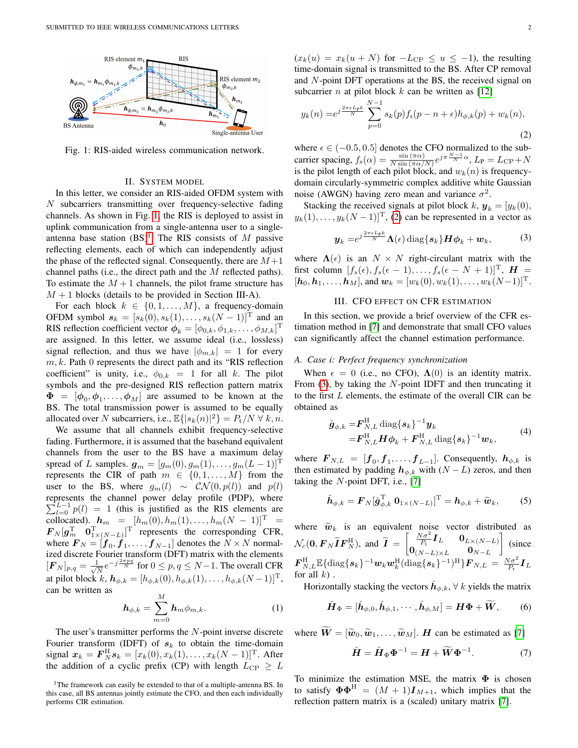<span id="page-1-0"></span>

Fig. 1: RIS-aided wireless communication network.

# II. SYSTEM MODEL

In this letter, we consider an RIS-aided OFDM system with N subcarriers transmitting over frequency-selective fading channels. As shown in Fig. [1,](#page-1-0) the RIS is deployed to assist in uplink communication from a single-antenna user to a singleantenna base station  $(BS)^1$  $(BS)^1$ . The RIS consists of M passive reflecting elements, each of which can independently adjust the phase of the reflected signal. Consequently, there are  $M+1$ channel paths (i.e., the direct path and the M reflected paths). To estimate the  $M + 1$  channels, the pilot frame structure has  $M + 1$  blocks (details to be provided in Section III-A).

For each block  $k \in \{0, 1, ..., M\}$ , a frequency-domain OFDM symbol  $s_k = [s_k(0), s_k(1), \ldots, s_k(N-1)]^T$  and an RIS reflection coefficient vector  $\boldsymbol{\phi}_k = [\phi_{0,k}, \phi_{1,k}, \dots, \phi_{M,k}]^{\mathrm{T}}$ are assigned. In this letter, we assume ideal (i.e., lossless) signal reflection, and thus we have  $|\phi_{m,k}| = 1$  for every  $m, k$ . Path 0 represents the direct path and its "RIS reflection coefficient" is unity, i.e.,  $\phi_{0,k} = 1$  for all k. The pilot symbols and the pre-designed RIS reflection pattern matrix  $\mathbf{\Phi} = [\phi_0, \phi_1, \dots, \phi_M]$  are assumed to be known at the BS. The total transmission power is assumed to be equally allocated over N subcarriers, i.e.,  $\mathbb{E}\{|s_k(n)|^2\} = P_t/N \ \forall \ k, n$ .

We assume that all channels exhibit frequency-selective fading. Furthermore, it is assumed that the baseband equivalent channels from the user to the BS have a maximum delay spread of L samples.  $g_m = [g_m(0), g_m(1), \ldots, g_m(L-1)]^T$ represents the CIR of path  $m \in \{0, 1, ..., M\}$  from the user to the BS, where  $g_m(l) \sim \mathcal{CN}(0, p(l))$  and  $p(l)$ represents the channel power delay profile (PDP), where  $\sum_{l=0}^{L-1} p(l) = 1$  (this is justified as the RIS elements are collocated).  $h_m = [h_m(0), h_m(1), \dots, h_m(N-1)]^T =$  $\boldsymbol{F}_N[\boldsymbol{g}_m^{\rm T} \quad \boldsymbol{0}_{1\times(N-L)}^{\rm T}]^{\rm T}$  represents the corresponding CFR, where  $\boldsymbol{F}_N = [\boldsymbol{f}_0, \boldsymbol{\dot{f}}_1, \dots, \boldsymbol{f}_{N-1}]$  denotes the  $N \times N$  normalized discrete Fourier transform (DFT) matrix with the elements  $[\boldsymbol{F}_N]_{p,q} = \frac{1}{\sqrt{q}}$  $\frac{1}{N}e^{-j\frac{2\pi pq}{N}}$  for  $0 \le p, q \le N-1$ . The overall CFR at pilot block k,  $h_{\phi,k} = [h_{\phi,k}(0), h_{\phi,k}(1), \dots, h_{\phi,k}(N-1)]^{\mathrm{T}}$ , can be written as

$$
\boldsymbol{h}_{\phi,k} = \sum_{m=0}^{M} \boldsymbol{h}_m \phi_{m,k}.
$$
 (1)

The user's transmitter performs the  $N$ -point inverse discrete Fourier transform (IDFT) of  $s_k$  to obtain the time-domain signal  $x_k = \bm{F}_N^{\rm H} \bm{s}_k = [x_k(0), x_k(1), \dots, x_k(N-1)]^{\rm T}$ . After the addition of a cyclic prefix (CP) with length  $L_{\text{CP}} \geq L$   $(x_k(u) = x_k(u+N)$  for  $-L_{\text{CP}} \le u \le -1$ , the resulting time-domain signal is transmitted to the BS. After CP removal and N-point DFT operations at the BS, the received signal on subcarrier *n* at pilot block  $k$  can be written as [\[12\]](#page-4-11)

<span id="page-1-2"></span>
$$
y_k(n) = e^{j\frac{2\pi\epsilon L_{\rm P}k}{N}} \sum_{p=0}^{N-1} s_k(p) f_s(p - n + \epsilon) h_{\phi,k}(p) + w_k(n), \tag{2}
$$

where  $\epsilon \in (-0.5, 0.5]$  denotes the CFO normalized to the subcarrier spacing,  $f_s(\alpha) = \frac{\sin(\pi \alpha)}{N \sin(\pi \alpha/N)} e^{j\pi \frac{N-1}{N} \alpha}$ ,  $L_p = L_{\text{CP}} + N$ is the pilot length of each pilot block, and  $w_k(n)$  is frequencydomain circularly-symmetric complex additive white Gaussian noise (AWGN) having zero mean and variance  $\sigma^2$ .

Stacking the received signals at pilot block  $k$ ,  $y_k = [y_k(0)]$ ,  $y_k(1), \ldots, y_k(N-1)$ <sup>T</sup>, [\(2\)](#page-1-2) can be represented in a vector as

$$
\boldsymbol{y}_k = e^{j\frac{2\pi\epsilon L_{\rm p}k}{N}} \boldsymbol{\Lambda}(\epsilon) \operatorname{diag}\{\boldsymbol{s}_k\} \boldsymbol{H} \boldsymbol{\phi}_k + \boldsymbol{w}_k, \tag{3}
$$

<span id="page-1-3"></span>where  $\Lambda(\epsilon)$  is an  $N \times N$  right-circulant matrix with the first column  $[f_s(\epsilon), f_s(\epsilon-1), \ldots, f_s(\epsilon-N+1)]^{\mathrm{T}}$ ,  $\boldsymbol{H} =$  $[h_0, h_1, \ldots, h_M]$ , and  $w_k = [w_k(0), w_k(1), \ldots, w_k(N-1)]^T$ .

## III. CFO EFFECT ON CFR ESTIMATION

In this section, we provide a brief overview of the CFR estimation method in [\[7\]](#page-4-7) and demonstrate that small CFO values can significantly affect the channel estimation performance.

#### *A. Case i: Perfect frequency synchronization*

When  $\epsilon = 0$  (i.e., no CFO),  $\Lambda(0)$  is an identity matrix. From  $(3)$ , by taking the N-point IDFT and then truncating it to the first L elements, the estimate of the overall CIR can be obtained as

$$
\hat{\boldsymbol{g}}_{\phi,k} = \boldsymbol{F}_{N,L}^{\mathrm{H}} \operatorname{diag}\{\boldsymbol{s}_k\}^{-1} \boldsymbol{y}_k \n= \boldsymbol{F}_{N,L}^{\mathrm{H}} \boldsymbol{H} \boldsymbol{\phi}_k + \boldsymbol{F}_{N,L}^{\mathrm{H}} \operatorname{diag}\{\boldsymbol{s}_k\}^{-1} \boldsymbol{w}_k,
$$
\n(4)

where  $\mathbf{F}_{N,L} = [\mathbf{f}_0, \mathbf{f}_1, \dots, \mathbf{f}_{L-1}]$ . Consequently,  $\mathbf{h}_{\phi,k}$  is then estimated by padding  $h_{\phi,k}$  with  $(N - L)$  zeros, and then taking the  $N$ -point DFT, i.e., [\[7\]](#page-4-7)

<span id="page-1-4"></span>
$$
\hat{\boldsymbol{h}}_{\phi,k} = \boldsymbol{F}_N[\hat{\boldsymbol{g}}_{\phi,k}^{\mathrm{T}} \ \boldsymbol{0}_{1\times(N-L)}]^{\mathrm{T}} = \boldsymbol{h}_{\phi,k} + \widetilde{\boldsymbol{w}}_k,\tag{5}
$$

where  $\widetilde{w}_k$  is an equivalent noise vector distributed as  $\mathcal{N}_c(\mathbf{0}, \boldsymbol{F}_N \widetilde{\boldsymbol{I}} \boldsymbol{F}_N^{\mathrm{H}})$ , and  $\widetilde{\boldsymbol{I}} =$  $\begin{bmatrix} \frac{N\sigma^2}{P_{\text{t}}} I_L & \mathbf{0}_{L\times (N-L)} \end{bmatrix}$  $\mathbf{0}_{(N-L)\times L}$  0<sub>N−L</sub>  $\Big]$  (since  $\bm{F}_{N,L}^{\rm H}\mathbb{E}\{{\rm diag}\{ \bm{s}_k \}^{-1}\bm{w}_k\bm{w}_k^{\rm H}({\rm diag}\{ \bm{s}_k \}^{-1})^{\rm H} \}\bm{F}_{N,L}\, =\, \frac{N\sigma^2}{P_{\rm t}}\bm{I}_L$ for all  $k$ ).

Horizontally stacking the vectors  $\hat{\bm{h}}_{\phi,k}, \forall~k$  yields the matrix

$$
\hat{\boldsymbol{H}}_{\Phi} = [\hat{\boldsymbol{h}}_{\phi,0}, \hat{\boldsymbol{h}}_{\phi,1}, \cdots, \hat{\boldsymbol{h}}_{\phi,M}] = \boldsymbol{H}\boldsymbol{\Phi} + \widetilde{\boldsymbol{W}},\qquad(6)
$$

where  $\widetilde{W} = [\widetilde{w}_0, \widetilde{w}_1, \dots, \widetilde{w}_M]$ . *H* can be estimated as [\[7\]](#page-4-7)

<span id="page-1-5"></span>
$$
\hat{H} = \hat{H}_{\Phi} \Phi^{-1} = H + \widetilde{W} \Phi^{-1}.
$$
 (7)

To minimize the estimation MSE, the matrix  $\Phi$  is chosen to satisfy  $\mathbf{\Phi} \mathbf{\Phi}^H = (M+1) \mathbf{I}_{M+1}$ , which implies that the reflection pattern matrix is a (scaled) unitary matrix [\[7\]](#page-4-7).

<span id="page-1-1"></span><sup>&</sup>lt;sup>1</sup>The framework can easily be extended to that of a multiple-antenna BS. In this case, all BS antennas jointly estimate the CFO, and then each individually performs CIR estimation.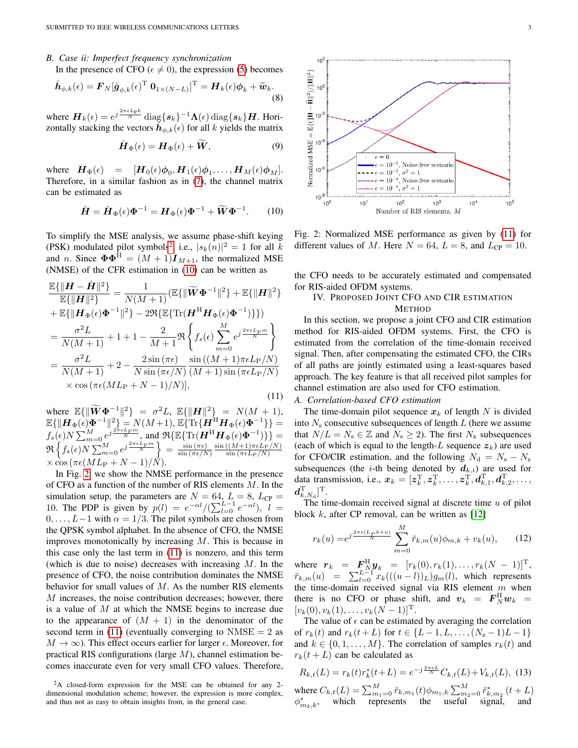# *B. Case ii: Imperfect frequency synchronization*

In the presence of CFO ( $\epsilon \neq 0$ ), the expression [\(5\)](#page-1-4) becomes

$$
\hat{\boldsymbol{h}}_{\phi,k}(\epsilon) = \boldsymbol{F}_N[\hat{\boldsymbol{g}}_{\phi,k}(\epsilon)^{\mathrm{T}} \ \boldsymbol{0}_{1 \times (N-L)}]^{\mathrm{T}} = \boldsymbol{H}_k(\epsilon) \boldsymbol{\phi}_k + \widetilde{\boldsymbol{w}}_k.
$$
\n(8)

where  $\bm{H}_k(\epsilon) = e^{j\frac{2\pi\epsilon L_{\rm P}k}{N}} \text{diag}\{\bm{s}_k\}^{-1}\bm{\Lambda}(\epsilon) \text{diag}\{\bm{s}_k\}\bm{H}$ . Horizontally stacking the vectors  $\hat{h}_{\phi,k}(\epsilon)$  for all k yields the matrix

$$
\hat{\boldsymbol{H}}_{\Phi}(\epsilon) = \boldsymbol{H}_{\Phi}(\epsilon) + \widetilde{\boldsymbol{W}}, \tag{9}
$$

where  $\boldsymbol{H}_{\Phi}(\epsilon) = [\boldsymbol{H}_0(\epsilon) \boldsymbol{\phi}_0, \boldsymbol{H}_1(\epsilon) \boldsymbol{\phi}_1, \dots, \boldsymbol{H}_M(\epsilon) \boldsymbol{\phi}_M].$ Therefore, in a similar fashion as in [\(7\)](#page-1-5), the channel matrix can be estimated as

$$
\hat{H} = \hat{H}_{\Phi}(\epsilon)\Phi^{-1} = H_{\Phi}(\epsilon)\Phi^{-1} + \widetilde{W}\Phi^{-1}.
$$
 (10)

<span id="page-2-1"></span>To simplify the MSE analysis, we assume phase-shift keying (PSK) modulated pilot symbols<sup>[2](#page-2-0)</sup>, i.e.,  $|s_k(n)|^2 = 1$  for all k and n. Since  $\mathbf{\Phi} \mathbf{\Phi}^{\text{H}} = (M+1) \mathbf{I}_{M+1}$ , the normalized MSE (NMSE) of the CFR estimation in [\(10\)](#page-2-1) can be written as

<span id="page-2-3"></span>
$$
\frac{\mathbb{E}\{\|\boldsymbol{H}-\hat{\boldsymbol{H}}\|^2\}}{\mathbb{E}\{\|\boldsymbol{H}\|^2\}} = \frac{1}{N(M+1)} (\mathbb{E}\{\|\widetilde{\boldsymbol{W}}\boldsymbol{\Phi}^{-1}\|^2\} + \mathbb{E}\{\|\boldsymbol{H}\|^2\} \n+ \mathbb{E}\{\|\boldsymbol{H}_{\Phi}(\epsilon)\boldsymbol{\Phi}^{-1}\|^2\} - 2\Re\{\mathbb{E}\{\text{Tr}(\boldsymbol{H}^{\text{H}}\boldsymbol{H}_{\Phi}(\epsilon)\boldsymbol{\Phi}^{-1})\}\}) \n= \frac{\sigma^2 L}{N(M+1)} + 1 + 1 - \frac{2}{M+1}\Re\left\{f_s(\epsilon)\sum_{m=0}^{M} e^{j\frac{2\pi\epsilon L_{\text{P}}m}{N}}\right\} \n= \frac{\sigma^2 L}{N(M+1)} + 2 - \frac{2\sin(\pi\epsilon)}{N\sin(\pi\epsilon/N)}\frac{\sin((M+1)\pi\epsilon L_{\text{P}}/N)}{(M+1)\sin(\pi\epsilon L_{\text{P}}/N)} \n\times \cos(\pi\epsilon (ML_{\text{P}}+N-1)/N)],
$$
\n(11)

where  $\mathbb{E}\{\|\widetilde{\boldsymbol{W}}\boldsymbol{\Phi}^{-1}\|^2\} = \sigma^2 L$ ,  $\mathbb{E}\{\|\boldsymbol{H}\|^2\} = N(M+1)$ ,  $\mathbb{E}\{\|\boldsymbol{H}_{\Phi}(\epsilon)\boldsymbol{\Phi}^{-1}\|^2\} = N(M\!+\!1), \ \mathbb{E}\{\text{Tr}\{\boldsymbol{H}^{\text{H}}\boldsymbol{H}_{\Phi}(\epsilon)\boldsymbol{\Phi}^{-1}\}\} =$  $f_s(\epsilon)N \sum_{m=0}^{M} e^{j\frac{2\pi\epsilon Lpm}{N}},$  and  $\Re{\{\mathbb{E}\{\text{Tr}(\boldsymbol{H}^{\text{H}}\boldsymbol{H}_{\Phi}(\epsilon)\boldsymbol{\Phi}^{-1})\}\}}$  $\Re\left\{f_s(\epsilon)N\sum_{m=0}^M e^{j\frac{2\pi\epsilon L_{\rm P}m}{N}}\right\} = \frac{\sin\left(\pi\epsilon\right)}{\sin\left(\pi\epsilon/N\right)}$  $\frac{\sin (\pi \epsilon)}{\sin (\pi \epsilon/N)} \frac{\sin ((M+1) \pi \epsilon L_{\rm P}/N)}{\sin (\pi \epsilon L_{\rm P}/N)}$  $\sin\left(\pi\epsilon L_{\rm P}/N\right)$  $\times \cos(\pi \epsilon (ML_P + N - 1)/N).$ 

In Fig. [2,](#page-2-2) we show the NMSE performance in the presence of CFO as a function of the number of RIS elements M. In the simulation setup, the parameters are  $N = 64$ ,  $L = 8$ ,  $L_{CP} =$ 10. The PDP is given by  $p(l) = e^{-\alpha l}/(\sum_{l=0}^{L-1} e^{-\alpha l}), l =$  $0, \ldots, L-1$  with  $\alpha = 1/3$ . The pilot symbols are chosen from the QPSK symbol alphabet. In the absence of CFO, the NMSE improves monotonically by increasing M. This is because in this case only the last term in [\(11\)](#page-2-3) is nonzero, and this term (which is due to noise) decreases with increasing  $M$ . In the presence of CFO, the noise contribution dominates the NMSE behavior for small values of  $M$ . As the number RIS elements M increases, the noise contribution decreases; however, there is a value of  $M$  at which the NMSE begins to increase due to the appearance of  $(M + 1)$  in the denominator of the second term in [\(11\)](#page-2-3) (eventually converging to  $NMSE = 2$  as  $M \to \infty$ ). This effect occurs earlier for larger  $\epsilon$ . Moreover, for practical RIS configurations (large  $M$ ), channel estimation becomes inaccurate even for very small CFO values. Therefore,

<span id="page-2-2"></span>

Fig. 2: Normalized MSE performance as given by [\(11\)](#page-2-3) for different values of M. Here  $N = 64$ ,  $L = 8$ , and  $L_{CP} = 10$ .

the CFO needs to be accurately estimated and compensated for RIS-aided OFDM systems.

# IV. PROPOSED JOINT CFO AND CIR ESTIMATION METHOD

In this section, we propose a joint CFO and CIR estimation method for RIS-aided OFDM systems. First, the CFO is estimated from the correlation of the time-domain received signal. Then, after compensating the estimated CFO, the CIRs of all paths are jointly estimated using a least-squares based approach. The key feature is that all received pilot samples for channel estimation are also used for CFO estimation.

# *A. Correlation-based CFO estimation*

The time-domain pilot sequence  $x_k$  of length N is divided into  $N<sub>s</sub>$  consecutive subsequences of length  $L$  (here we assume that  $N/L = N_s \in \mathbb{Z}$  and  $N_s \geq 2$ ). The first  $N_z$  subsequences (each of which is equal to the length-L sequence  $z_k$ ) are used for CFO/CIR estimation, and the following  $N_d = N_s - N_z$ subsequences (the *i*-th being denoted by  $d_{k,i}$ ) are used for data transmission, i.e.,  $x_k = [z_k^{\text{T}}, z_k^{\text{T}}, \dots, z_k^{\text{T}}, d_{k,1}^{\text{T}}, d_{k,2}^{\text{T}}, \dots,$  $\bm{d}_{k,N_\text{d}}^\text{T}]^\text{T}.$ 

The time-domain received signal at discrete time  $u$  of pilot block  $k$ , after CP removal, can be written as [\[12\]](#page-4-11)

$$
r_k(u) = e^{j\frac{2\pi\epsilon(L_P k + u)}{N}} \sum_{m=0}^{M} \breve{r}_{k,m}(u)\phi_{m,k} + v_k(u), \qquad (12)
$$

where  $r_k = F_{N}^{\text{H}} y_k = [r_k(0), r_k(1), \dots, r_k(N-1)]^{\text{T}}$ ,  $\tilde{r}_{k,m}(u) = \sum_{l=0}^{L-1} x_k(((u-l))_L)g_m(l)$ , which represents the time-domain received signal via RIS element  $m$  when there is no CFO or phase shift, and  $v_k = F_N^H w_k$  =  $[v_k(0), v_k(1), \ldots, v_k(N-1)]^{\mathrm{T}}$ .

The value of  $\epsilon$  can be estimated by averaging the correlation of  $r_k(t)$  and  $r_k(t+L)$  for  $t \in \{L-1, L, \ldots, (N_{z}-1)L-1\}$ and  $k \in \{0, 1, \ldots, M\}$ . The correlation of samples  $r_k(t)$  and  $r_k(t + L)$  can be calculated as

$$
R_{k,t}(L) = r_k(t)r_k^*(t+L) = e^{-j\frac{2\pi\epsilon L}{N}}C_{k,t}(L) + V_{k,t}(L),
$$
 (13)  
where  $C_{k,t}(L) = \sum_{m_1=0}^{M} \breve{r}_{k,m_1}(t)\phi_{m_1,k} \sum_{m_2=0}^{M} \breve{r}_{k,m_2}^*(t+L)$   
 $\phi_{m_2,k}^*$ , which represents the useful signal, and

<span id="page-2-0"></span><sup>2</sup>A closed-form expression for the MSE can be obtained for any 2 dimensional modulation scheme; however, the expression is more complex, and thus not as easy to obtain insights from, in the general case.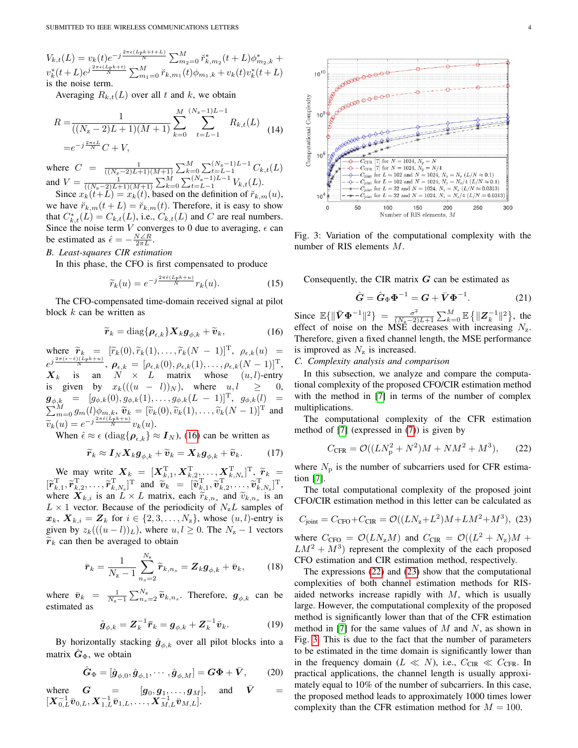$V_{k,t}(L) = v_k(t)e^{-j\frac{2\pi\epsilon(L_{\rm P}k+t+L)}{N}}\sum_{m_2=0}^{M} \breve{r}_{k,m_2}^*(t+L)\phi_{m_2,k}^*$  $v_k^*(t+L)e^{j\frac{2\pi\epsilon(L_{\rm P}k+t)}{N}}\sum_{m_1=0}^M \breve{r}_{k,m_1}(t)\phi_{m_1,k}+v_k(t)v_k^*(t+L)$ is the noise term.

Averaging  $R_{k,t}(L)$  over all t and k, we obtain

$$
R = \frac{1}{((N_{\mathbf{z}} - 2)L + 1)(M + 1)} \sum_{k=0}^{M} \sum_{t=L-1}^{(N_{\mathbf{z}} - 1)L - 1} R_{k,t}(L)
$$
  
=  $e^{-j\frac{2\pi\epsilon L}{N}} C + V,$  (14)

where  $C = \frac{1}{((N_{z}-2)L+1)(M+1)} \sum_{k=0}^{M} \sum_{t=L-1}^{(N_{z}-1)L-1} C_{k,t}(L)$ and  $V = \frac{1}{((N_{z}-2)L+1)(M+1)} \sum_{k=0}^{M} \sum_{t=L-1}^{(N_{z}-1)L-1} V_{k,t}(L)$ .

Since  $x_k(t+L) = x_k(t)$ , based on the definition of  $\breve{r}_{k,m}(u)$ , we have  $\breve{r}_{k,m}(t + L) = \breve{r}_{k,m}(t)$ . Therefore, it is easy to show that  $C_{k,t}^*(L) = C_{k,t}(L)$ , i.e.,  $C_{k,t}(L)$  and C are real numbers. Since the noise term V converges to 0 due to averaging,  $\epsilon$  can be estimated as  $\hat{\epsilon} = -\frac{N \angle R}{2\pi L}$ .

## *B. Least-squares CIR estimation*

In this phase, the CFO is first compensated to produce

$$
\widetilde{r}_k(u) = e^{-j\frac{2\pi\hat{\epsilon}(L_p k + u)}{N}} r_k(u). \tag{15}
$$

The CFO-compensated time-domain received signal at pilot block  $k$  can be written as

$$
\widetilde{\boldsymbol{r}}_k = \text{diag}\{\boldsymbol{\rho}_{\epsilon,k}\} \boldsymbol{X}_k \boldsymbol{g}_{\phi,k} + \widetilde{\boldsymbol{v}}_k,\tag{16}
$$

<span id="page-3-0"></span>where  $\widetilde{r}_k = [\widetilde{r}_k(0), \widetilde{r}_k(1), \dots, \widetilde{r}_k(N-1)]^{\mathrm{T}}, \ \rho_{\epsilon,k}(u) = e^{j\frac{2\pi(\epsilon-\epsilon)(L_p k + u)}{N}}, \ \rho_{\epsilon,k} = [\rho_{\epsilon,k}(0), \rho_{\epsilon,k}(1), \dots, \rho_{\epsilon,k}(N-1)]^{\mathrm{T}},$  $X_k$  is an  $N^* \times L$  matrix whose  $(u, l)$ -entry is given by  $x_k(((u - l))_N)$ , where  $u, l \geq 0$ ,  ${\boldsymbol g}_{\phi,k} \ \ = \ \ [g_{\phi,k}(0), g_{\phi,k}(1), \ldots, g_{\phi,k}(L \ - \ 1)]^{\rm T}, \ \ g_{\phi,k}(l) \ \ =$  $\sum_{k=0}^{M} g_m(l) \phi_{m,k}, \widetilde{\mathbf{v}}_k = [\widetilde{v}_k(0), \widetilde{v}_k(1), \ldots, \widetilde{v}_k(N-1)]^{\mathrm{T}}$  and  $\widetilde{v}_k(u) = e^{-j\frac{2\pi\hat{\epsilon}(L_p k+u)}{N}} v_k(u).$ <br>When  $\hat{\epsilon} \approx \epsilon$  (diagram)

When  $\hat{\epsilon} \approx \epsilon$  (diag $\{\rho_{\epsilon,k}\} \approx I_N$ ), [\(16\)](#page-3-0) can be written as

$$
\widetilde{r}_k \approx I_N X_k \mathbf{g}_{\phi,k} + \widetilde{v}_k = X_k \mathbf{g}_{\phi,k} + \widetilde{v}_k. \tag{17}
$$

We may write  $X_k = [\mathbf{X}_{k,1}^{\mathrm{T}}, \mathbf{X}_{k,2}^{\mathrm{T}}, \dots, \mathbf{X}_{k,N_s}^{\mathrm{T}}]^{\mathrm{T}}, \widetilde{\boldsymbol{r}}_k = \Gamma$  $[\widetilde{r}_{k,1}^{\mathrm{T}}, \widetilde{r}_{k,2}^{\mathrm{T}}, \ldots, \widetilde{r}_{k,N_{\mathrm{s}}}^{\mathrm{T}}]^{\mathrm{T}}$  and  $\widetilde{v}_{k} = [\widetilde{v}_{k,1}^{\mathrm{T}}, \widetilde{v}_{k,2}^{\mathrm{T}}, \ldots, \widetilde{v}_{k,N_{\mathrm{s}}}^{\mathrm{T}}]^{\mathrm{T}}$ ,<br>where  $\mathbf{X}_{k}$ , is an  $I \times I$  matrix each  $\widetilde{x}_{k}$ , and  $\widetilde{x}_{k}$ , is an where  $X_{k,i}$  is an  $L \times L$  matrix, each  $\widetilde{r}_{k,n_s}$  and  $\widetilde{v}_{k,n_s}$  is an  $L \times 1$  vector. Because of the periodicity of  $N, L$  semples of  $L \times 1$  vector. Because of the periodicity of  $N_zL$  samples of  $x_k$ ,  $X_{k,i} = Z_k$  for  $i \in \{2, 3, \ldots, N_z\}$ , whose  $(u, l)$ -entry is given by  $z_k(((u-l))_L)$ , where  $u, l \geq 0$ . The  $N_z - 1$  vectors  $\widetilde{r}_k$  can then be averaged to obtain

<span id="page-3-4"></span>
$$
\bar{\boldsymbol{r}}_k = \frac{1}{N_\mathrm{z}-1} \sum_{n_\mathrm{s}=2}^{N_\mathrm{z}} \widetilde{\boldsymbol{r}}_{k,n_\mathrm{s}} = \boldsymbol{Z}_k \boldsymbol{g}_{\phi,k} + \bar{\boldsymbol{v}}_k, \qquad (18)
$$

where  $\bar{v}_k = \frac{1}{N_z-1} \sum_{n_s=2}^{N_z} \tilde{v}_{k,n_s}$ . Therefore,  $g_{\phi,k}$  can be estimated as

$$
\hat{\boldsymbol{g}}_{\phi,k} = \boldsymbol{Z}_k^{-1} \bar{\boldsymbol{r}}_k = \boldsymbol{g}_{\phi,k} + \boldsymbol{Z}_k^{-1} \bar{\boldsymbol{v}}_k. \tag{19}
$$

By horizontally stacking  $\hat{g}_{\phi,k}$  over all pilot blocks into a matrix  $\hat{G}_{\Phi}$ , we obtain

$$
\hat{\boldsymbol{G}}_{\Phi} = [\hat{\boldsymbol{g}}_{\phi,0}, \hat{\boldsymbol{g}}_{\phi,1}, \cdots, \hat{\boldsymbol{g}}_{\phi,M}] = \boldsymbol{G}\boldsymbol{\Phi} + \bar{\boldsymbol{V}},\qquad(20)
$$

where 
$$
G = [g_0, g_1, \dots, g_M]
$$
, and  $\bar{V} = [X_{0,L}^{-1}\bar{v}_{0,L}, X_{1,L}^{-1}\bar{v}_{1,L}, \dots, X_{M,L}^{-1}\bar{v}_{M,L}].$ 

<span id="page-3-3"></span>

Fig. 3: Variation of the computational complexity with the number of RIS elements M.

Consequently, the CIR matrix  $G$  can be estimated as

$$
\hat{G} = \hat{G}_{\Phi} \Phi^{-1} = G + \bar{V} \Phi^{-1}.
$$
 (21)

Since  $\mathbb{E}\{\|\bar{\mathbf{V}}\Phi^{-1}\|^2\} = \frac{\sigma^2}{(N-2)^2}$  $\frac{\sigma^2}{(N_{\rm z}-2)L+1}\sum_{k=0}^{M}\mathbb{E}\left\{\|{\bm{Z}}_k^{-1}\|^2\right\},\;$  the effect of noise on the MSE decreases with increasing  $N_z$ . Therefore, given a fixed channel length, the MSE performance is improved as  $N_z$  is increased.

# *C. Complexity analysis and comparison*

In this subsection, we analyze and compare the computational complexity of the proposed CFO/CIR estimation method with the method in [\[7\]](#page-4-7) in terms of the number of complex multiplications.

The computational complexity of the CFR estimation method of [\[7\]](#page-4-7) (expressed in [\(7\)](#page-1-5)) is given by

<span id="page-3-1"></span>
$$
C_{\text{CFR}} = \mathcal{O}((LN_{\text{p}}^2 + N^2)M + NM^2 + M^3),\tag{22}
$$

where  $N_{\rm p}$  is the number of subcarriers used for CFR estimation [\[7\]](#page-4-7).

<span id="page-3-2"></span>CFO/CIR estimation method in this letter can be calculated as  

$$
C_{\text{joint}} = C_{\text{CPO}} + C_{\text{CIR}} = \mathcal{O}((LN_{\rm z} + L^2)M + LM^2 + M^3), (23)
$$

The total computational complexity of the proposed joint

where  $C_{\text{CFO}} = \mathcal{O}(LN_{\text{z}}M)$  and  $C_{\text{CIR}} = \mathcal{O}((L^2 + N_{\text{z}})M +$  $LM^2 + M^3$ ) represent the complexity of the each proposed CFO estimation and CIR estimation method, respectively.

The expressions [\(22\)](#page-3-1) and [\(23\)](#page-3-2) show that the computational complexities of both channel estimation methods for RISaided networks increase rapidly with  $M$ , which is usually large. However, the computational complexity of the proposed method is significantly lower than that of the CFR estimation method in [\[7\]](#page-4-7) for the same values of  $M$  and  $N$ , as shown in Fig. [3.](#page-3-3) This is due to the fact that the number of parameters to be estimated in the time domain is significantly lower than in the frequency domain  $(L \ll N)$ , i.e.,  $C_{CIR} \ll C_{CFR}$ . In practical applications, the channel length is usually approximately equal to 10% of the number of subcarriers. In this case, the proposed method leads to approximately 1000 times lower complexity than the CFR estimation method for  $M = 100$ .